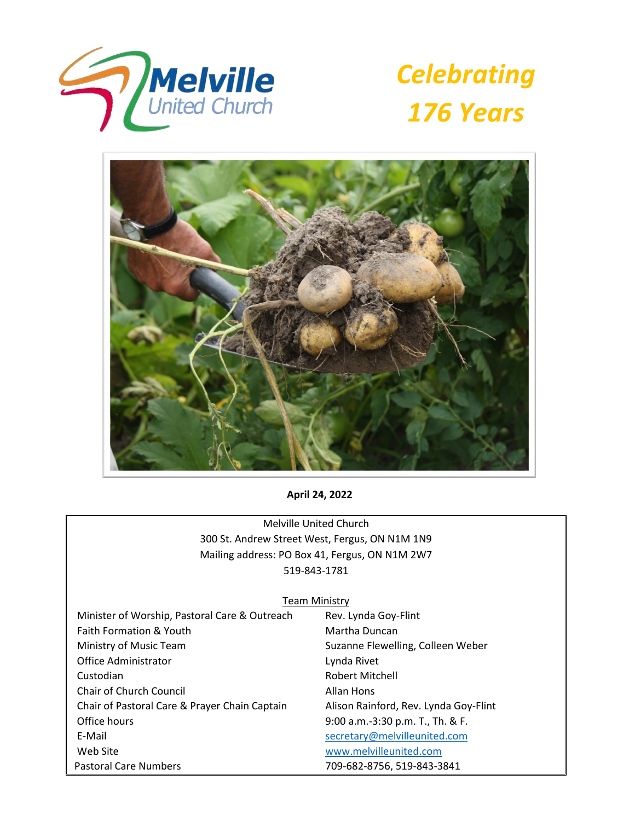





**April 24, 2022**

Melville United Church 300 St. Andrew Street West, Fergus, ON N1M 1N9 Mailing address: PO Box 41, Fergus, ON N1M 2W7 519-843-1781

#### Team Ministry

Minister of Worship, Pastoral Care & Outreach Rev. Lynda Goy-Flint Faith Formation & Youth Martha Duncan Ministry of Music Team Suzanne Flewelling, Colleen Weber Office Administrator **Lynda Rivet** Custodian **Robert Mitchell** Chair of Church Council **Allan Hons**  Chair of Pastoral Care & Prayer Chain Captain Alison Rainford, Rev. Lynda Goy-Flint Office hours 9:00 a.m.-3:30 p.m. T., Th. & F. E-Mail [secretary@melvilleunited.com](mailto:secretary@melvilleunited.com) Web Site [www.melvilleunited.com](http://www.melvilleunited.com/) Pastoral Care Numbers 709-682-8756, 519-843-3841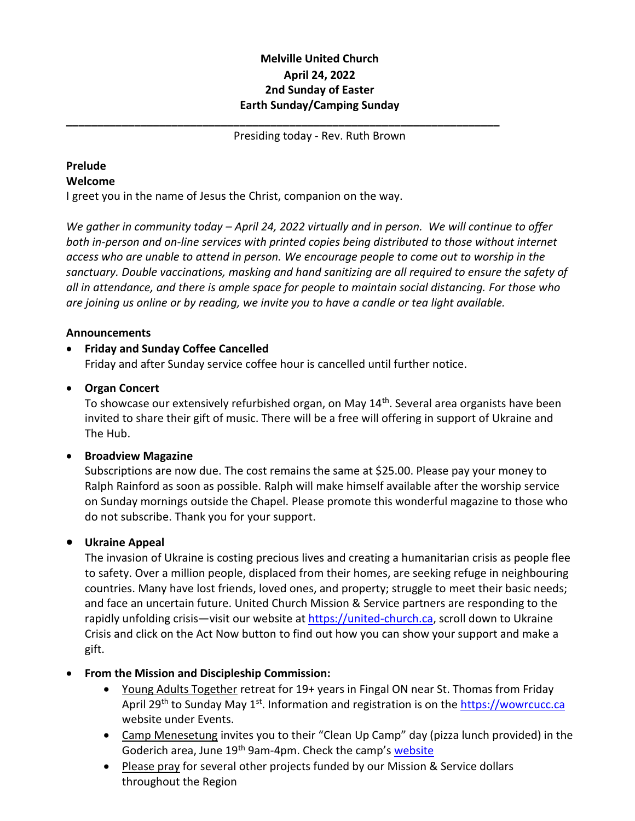# **Melville United Church April 24, 2022 2nd Sunday of Easter Earth Sunday/Camping Sunday**

Presiding today - Rev. Ruth Brown

**\_\_\_\_\_\_\_\_\_\_\_\_\_\_\_\_\_\_\_\_\_\_\_\_\_\_\_\_\_\_\_\_\_\_\_\_\_\_\_\_\_\_\_\_\_\_\_\_\_\_\_\_\_\_\_\_\_\_\_\_\_\_\_\_\_\_\_\_\_\_**

#### **Prelude Welcome**

I greet you in the name of Jesus the Christ, companion on the way.

*We gather in community today – April 24, 2022 virtually and in person. We will continue to offer both in-person and on-line services with printed copies being distributed to those without internet access who are unable to attend in person. We encourage people to come out to worship in the sanctuary. Double vaccinations, masking and hand sanitizing are all required to ensure the safety of all in attendance, and there is ample space for people to maintain social distancing. For those who are joining us online or by reading, we invite you to have a candle or tea light available.*

# **Announcements**

# • **Friday and Sunday Coffee Cancelled**

Friday and after Sunday service coffee hour is cancelled until further notice.

## • **Organ Concert**

To showcase our extensively refurbished organ, on May 14<sup>th</sup>. Several area organists have been invited to share their gift of music. There will be a free will offering in support of Ukraine and The Hub.

## • **Broadview Magazine**

Subscriptions are now due. The cost remains the same at \$25.00. Please pay your money to Ralph Rainford as soon as possible. Ralph will make himself available after the worship service on Sunday mornings outside the Chapel. Please promote this wonderful magazine to those who do not subscribe. Thank you for your support.

## • **Ukraine Appeal**

The invasion of Ukraine is costing precious lives and creating a humanitarian crisis as people flee to safety. Over a million people, displaced from their homes, are seeking refuge in neighbouring countries. Many have lost friends, loved ones, and property; struggle to meet their basic needs; and face an uncertain future. United Church Mission & Service partners are responding to the rapidly unfolding crisis—visit our website at [https://united-church.ca,](https://united-church.ca/) scroll down to Ukraine Crisis and click on the Act Now button to find out how you can show your support and make a gift.

## • **From the Mission and Discipleship Commission:**

- Young Adults Together retreat for 19+ years in Fingal ON near St. Thomas from Friday April 29<sup>th</sup> to Sunday May 1<sup>st</sup>. Information and registration is on the [https://wowrcucc.ca](https://wowrcucc.ca/) website under Events.
- Camp Menesetung invites you to their "Clean Up Camp" day (pizza lunch provided) in the Goderich area, June 19<sup>th</sup> 9am-4pm. Check the camp's [website](https://www.campmenesetung.ca/)
- Please pray for several other projects funded by our Mission & Service dollars throughout the Region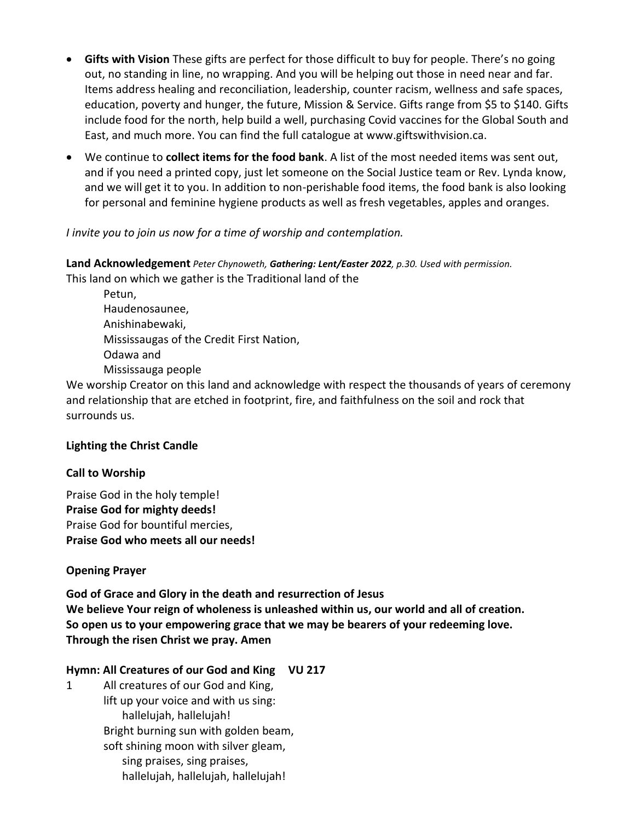- **Gifts with Vision** These gifts are perfect for those difficult to buy for people. There's no going out, no standing in line, no wrapping. And you will be helping out those in need near and far. Items address healing and reconciliation, leadership, counter racism, wellness and safe spaces, education, poverty and hunger, the future, Mission & Service. Gifts range from \$5 to \$140. Gifts include food for the north, help build a well, purchasing Covid vaccines for the Global South and East, and much more. You can find the full catalogue at www.giftswithvision.ca.
- We continue to **collect items for the food bank**. A list of the most needed items was sent out, and if you need a printed copy, just let someone on the Social Justice team or Rev. Lynda know, and we will get it to you. In addition to non-perishable food items, the food bank is also looking for personal and feminine hygiene products as well as fresh vegetables, apples and oranges.

## *I invite you to join us now for a time of worship and contemplation.*

## **Land Acknowledgement** *Peter Chynoweth, Gathering: Lent/Easter 2022, p.30. Used with permission.* This land on which we gather is the Traditional land of the

Petun, Haudenosaunee, Anishinabewaki, Mississaugas of the Credit First Nation, Odawa and Mississauga people

We worship Creator on this land and acknowledge with respect the thousands of years of ceremony and relationship that are etched in footprint, fire, and faithfulness on the soil and rock that surrounds us.

## **Lighting the Christ Candle**

## **Call to Worship**

Praise God in the holy temple! **Praise God for mighty deeds!** Praise God for bountiful mercies, **Praise God who meets all our needs!**

## **Opening Prayer**

**God of Grace and Glory in the death and resurrection of Jesus We believe Your reign of wholeness is unleashed within us, our world and all of creation. So open us to your empowering grace that we may be bearers of your redeeming love. Through the risen Christ we pray. Amen**

## **Hymn: All Creatures of our God and King VU 217**

1 All creatures of our God and King, lift up your voice and with us sing: hallelujah, hallelujah! Bright burning sun with golden beam, soft shining moon with silver gleam, sing praises, sing praises, hallelujah, hallelujah, hallelujah!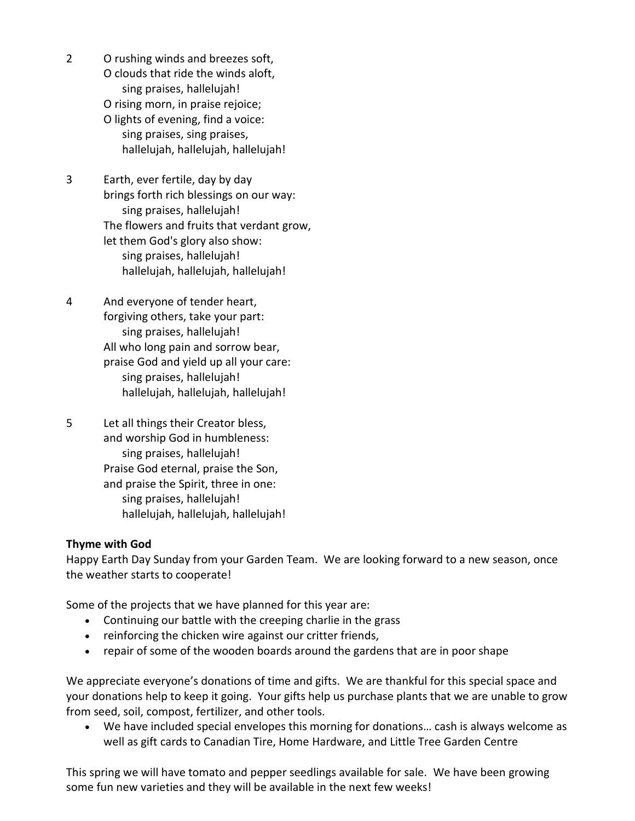- 2 O rushing winds and breezes soft,
	- O clouds that ride the winds aloft, sing praises, hallelujah!
	- O rising morn, in praise rejoice;
	- O lights of evening, find a voice: sing praises, sing praises, hallelujah, hallelujah, hallelujah!
- 3 Earth, ever fertile, day by day brings forth rich blessings on our way: sing praises, hallelujah! The flowers and fruits that verdant grow, let them God's glory also show: sing praises, hallelujah! hallelujah, hallelujah, hallelujah!
- 4 And everyone of tender heart, forgiving others, take your part: sing praises, hallelujah! All who long pain and sorrow bear, praise God and yield up all your care: sing praises, hallelujah! hallelujah, hallelujah, hallelujah!
- 5 Let all things their Creator bless, and worship God in humbleness: sing praises, hallelujah! Praise God eternal, praise the Son, and praise the Spirit, three in one: sing praises, hallelujah! hallelujah, hallelujah, hallelujah!

# **Thyme with God**

Happy Earth Day Sunday from your Garden Team. We are looking forward to a new season, once the weather starts to cooperate!

Some of the projects that we have planned for this year are:

- Continuing our battle with the creeping charlie in the grass
- reinforcing the chicken wire against our critter friends,
- repair of some of the wooden boards around the gardens that are in poor shape

We appreciate everyone's donations of time and gifts. We are thankful for this special space and your donations help to keep it going. Your gifts help us purchase plants that we are unable to grow from seed, soil, compost, fertilizer, and other tools.

• We have included special envelopes this morning for donations… cash is always welcome as well as gift cards to Canadian Tire, Home Hardware, and Little Tree Garden Centre

This spring we will have tomato and pepper seedlings available for sale. We have been growing some fun new varieties and they will be available in the next few weeks!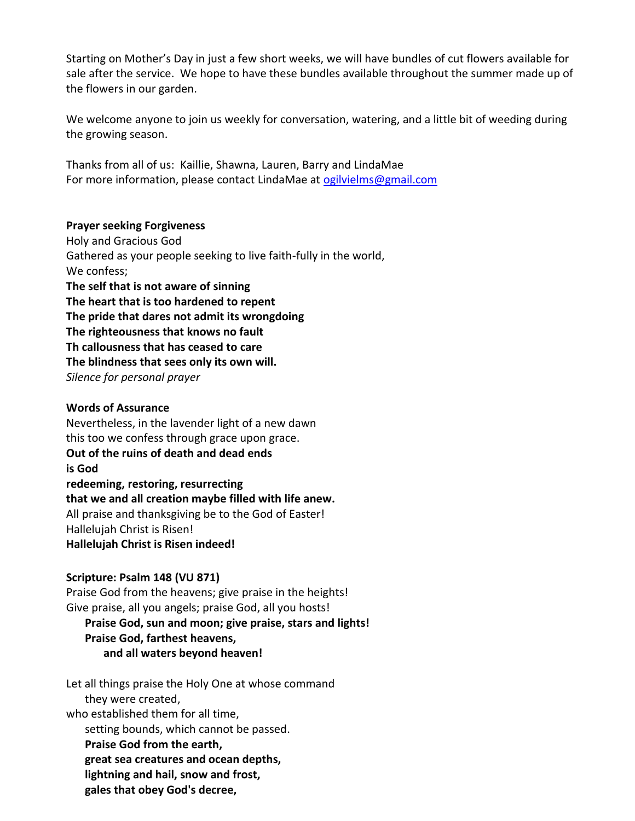Starting on Mother's Day in just a few short weeks, we will have bundles of cut flowers available for sale after the service. We hope to have these bundles available throughout the summer made up of the flowers in our garden.

We welcome anyone to join us weekly for conversation, watering, and a little bit of weeding during the growing season.

Thanks from all of us: Kaillie, Shawna, Lauren, Barry and LindaMae For more information, please contact LindaMae at [ogilvielms@gmail.com](mailto:ogilvielms@gmail.com)

## **Prayer seeking Forgiveness**

Holy and Gracious God Gathered as your people seeking to live faith-fully in the world, We confess; **The self that is not aware of sinning The heart that is too hardened to repent The pride that dares not admit its wrongdoing The righteousness that knows no fault Th callousness that has ceased to care The blindness that sees only its own will.** *Silence for personal prayer*

#### **Words of Assurance**

Nevertheless, in the lavender light of a new dawn this too we confess through grace upon grace. **Out of the ruins of death and dead ends is God redeeming, restoring, resurrecting that we and all creation maybe filled with life anew.** All praise and thanksgiving be to the God of Easter! Hallelujah Christ is Risen! **Hallelujah Christ is Risen indeed!**

#### **Scripture: Psalm 148 (VU 871)**

Praise God from the heavens; give praise in the heights! Give praise, all you angels; praise God, all you hosts! **Praise God, sun and moon; give praise, stars and lights!**

# **Praise God, farthest heavens,**

**and all waters beyond heaven!**

Let all things praise the Holy One at whose command they were created, who established them for all time, setting bounds, which cannot be passed. **Praise God from the earth, great sea creatures and ocean depths, lightning and hail, snow and frost, gales that obey God's decree,**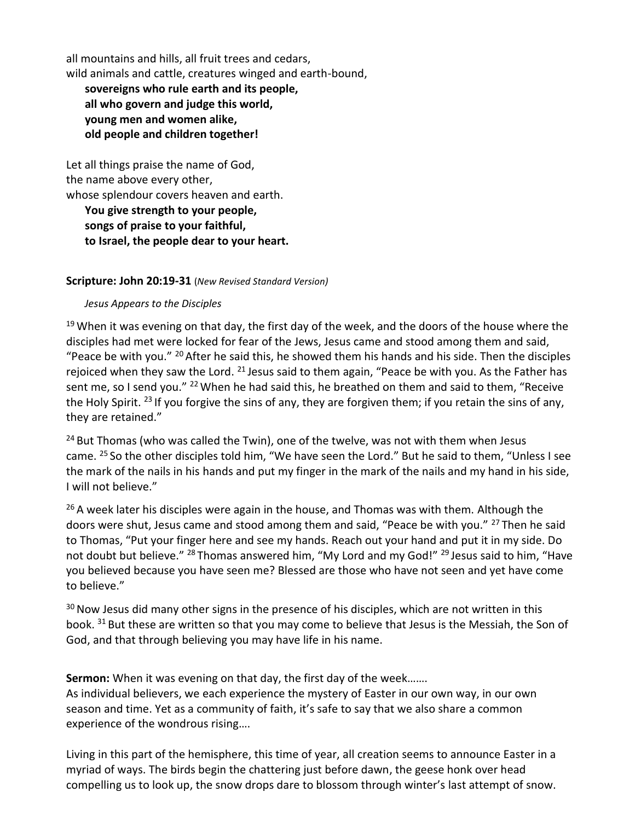all mountains and hills, all fruit trees and cedars, wild animals and cattle, creatures winged and earth-bound, **sovereigns who rule earth and its people, all who govern and judge this world, young men and women alike, old people and children together!**

Let all things praise the name of God, the name above every other, whose splendour covers heaven and earth.

**You give strength to your people, songs of praise to your faithful, to Israel, the people dear to your heart.**

## **Scripture: John 20:19-31** (*New Revised Standard Version)*

#### *Jesus Appears to the Disciples*

 $19$  When it was evening on that day, the first day of the week, and the doors of the house where the disciples had met were locked for fear of the Jews, Jesus came and stood among them and said, "Peace be with you."  $^{20}$  After he said this, he showed them his hands and his side. Then the disciples rejoiced when they saw the Lord.  $21$  Jesus said to them again, "Peace be with you. As the Father has sent me, so I send you."  $^{22}$  When he had said this, he breathed on them and said to them, "Receive the Holy Spirit. <sup>23</sup> If you forgive the sins of any, they are forgiven them; if you retain the sins of any, they are retained."

<sup>24</sup> But Thomas (who was called the Twin), one of the twelve, was not with them when Jesus came. <sup>25</sup> So the other disciples told him, "We have seen the Lord." But he said to them, "Unless I see the mark of the nails in his hands and put my finger in the mark of the nails and my hand in his side, I will not believe."

 $26$  A week later his disciples were again in the house, and Thomas was with them. Although the doors were shut, Jesus came and stood among them and said, "Peace be with you." <sup>27</sup> Then he said to Thomas, "Put your finger here and see my hands. Reach out your hand and put it in my side. Do not doubt but believe." <sup>28</sup> Thomas answered him, "My Lord and my God!" <sup>29</sup> Jesus said to him, "Have you believed because you have seen me? Blessed are those who have not seen and yet have come to believe."

 $30$  Now Jesus did many other signs in the presence of his disciples, which are not written in this book. <sup>31</sup> But these are written so that you may come to believe that Jesus is the Messiah, the Son of God, and that through believing you may have life in his name.

**Sermon:** When it was evening on that day, the first day of the week…….

As individual believers, we each experience the mystery of Easter in our own way, in our own season and time. Yet as a community of faith, it's safe to say that we also share a common experience of the wondrous rising….

Living in this part of the hemisphere, this time of year, all creation seems to announce Easter in a myriad of ways. The birds begin the chattering just before dawn, the geese honk over head compelling us to look up, the snow drops dare to blossom through winter's last attempt of snow.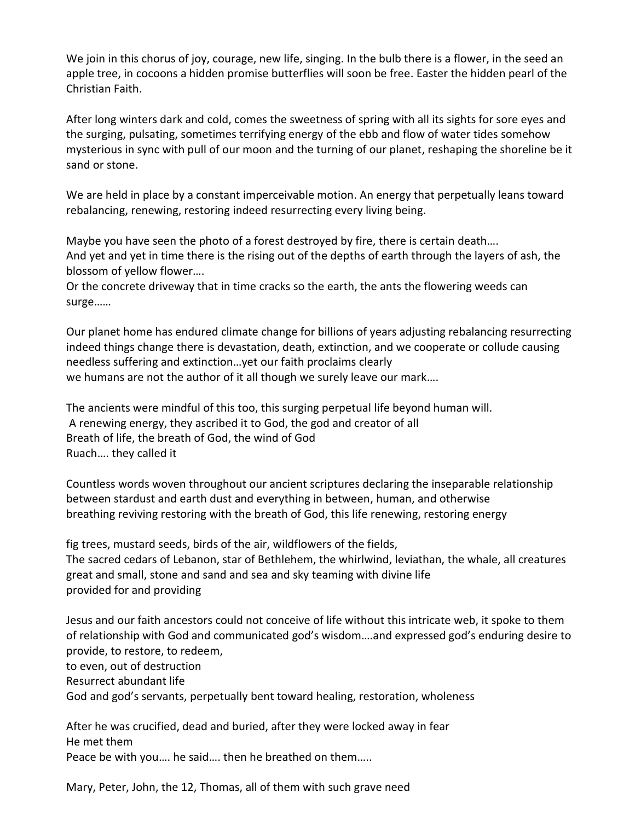We join in this chorus of joy, courage, new life, singing. In the bulb there is a flower, in the seed an apple tree, in cocoons a hidden promise butterflies will soon be free. Easter the hidden pearl of the Christian Faith.

After long winters dark and cold, comes the sweetness of spring with all its sights for sore eyes and the surging, pulsating, sometimes terrifying energy of the ebb and flow of water tides somehow mysterious in sync with pull of our moon and the turning of our planet, reshaping the shoreline be it sand or stone.

We are held in place by a constant imperceivable motion. An energy that perpetually leans toward rebalancing, renewing, restoring indeed resurrecting every living being.

Maybe you have seen the photo of a forest destroyed by fire, there is certain death…. And yet and yet in time there is the rising out of the depths of earth through the layers of ash, the blossom of yellow flower….

Or the concrete driveway that in time cracks so the earth, the ants the flowering weeds can surge……

Our planet home has endured climate change for billions of years adjusting rebalancing resurrecting indeed things change there is devastation, death, extinction, and we cooperate or collude causing needless suffering and extinction…yet our faith proclaims clearly we humans are not the author of it all though we surely leave our mark….

The ancients were mindful of this too, this surging perpetual life beyond human will. A renewing energy, they ascribed it to God, the god and creator of all Breath of life, the breath of God, the wind of God Ruach…. they called it

Countless words woven throughout our ancient scriptures declaring the inseparable relationship between stardust and earth dust and everything in between, human, and otherwise breathing reviving restoring with the breath of God, this life renewing, restoring energy

fig trees, mustard seeds, birds of the air, wildflowers of the fields, The sacred cedars of Lebanon, star of Bethlehem, the whirlwind, leviathan, the whale, all creatures great and small, stone and sand and sea and sky teaming with divine life provided for and providing

Jesus and our faith ancestors could not conceive of life without this intricate web, it spoke to them of relationship with God and communicated god's wisdom….and expressed god's enduring desire to provide, to restore, to redeem, to even, out of destruction

Resurrect abundant life

God and god's servants, perpetually bent toward healing, restoration, wholeness

After he was crucified, dead and buried, after they were locked away in fear He met them Peace be with you…. he said…. then he breathed on them…..

Mary, Peter, John, the 12, Thomas, all of them with such grave need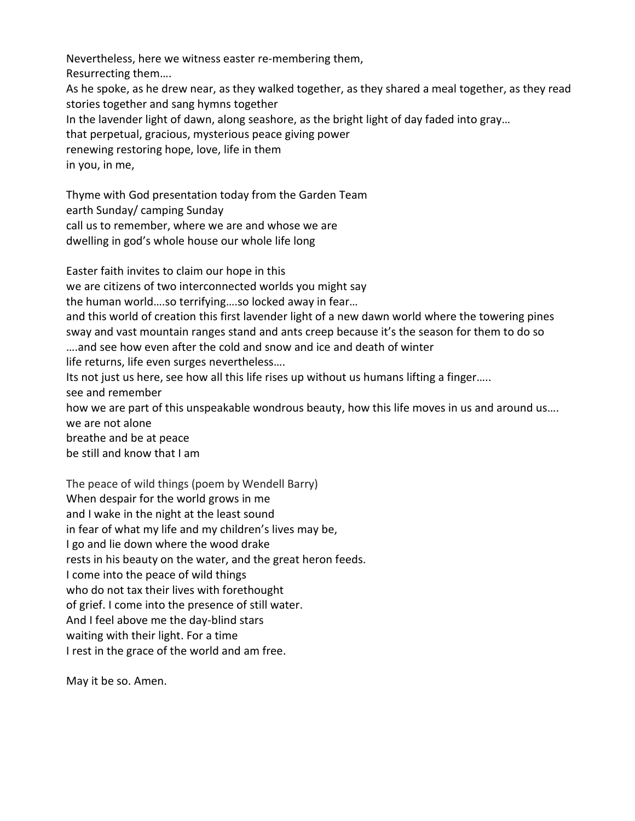Nevertheless, here we witness easter re-membering them, Resurrecting them…. As he spoke, as he drew near, as they walked together, as they shared a meal together, as they read stories together and sang hymns together In the lavender light of dawn, along seashore, as the bright light of day faded into gray… that perpetual, gracious, mysterious peace giving power renewing restoring hope, love, life in them in you, in me,

Thyme with God presentation today from the Garden Team earth Sunday/ camping Sunday call us to remember, where we are and whose we are dwelling in god's whole house our whole life long

Easter faith invites to claim our hope in this we are citizens of two interconnected worlds you might say the human world….so terrifying….so locked away in fear… and this world of creation this first lavender light of a new dawn world where the towering pines sway and vast mountain ranges stand and ants creep because it's the season for them to do so ….and see how even after the cold and snow and ice and death of winter life returns, life even surges nevertheless…. Its not just us here, see how all this life rises up without us humans lifting a finger….. see and remember how we are part of this unspeakable wondrous beauty, how this life moves in us and around us…. we are not alone breathe and be at peace be still and know that I am

The peace of wild things (poem by Wendell Barry) When despair for the world grows in me and I wake in the night at the least sound in fear of what my life and my children's lives may be, I go and lie down where the wood drake rests in his beauty on the water, and the great heron feeds. I come into the peace of wild things who do not tax their lives with forethought of grief. I come into the presence of still water. And I feel above me the day-blind stars waiting with their light. For a time I rest in the grace of the world and am free.

May it be so. Amen.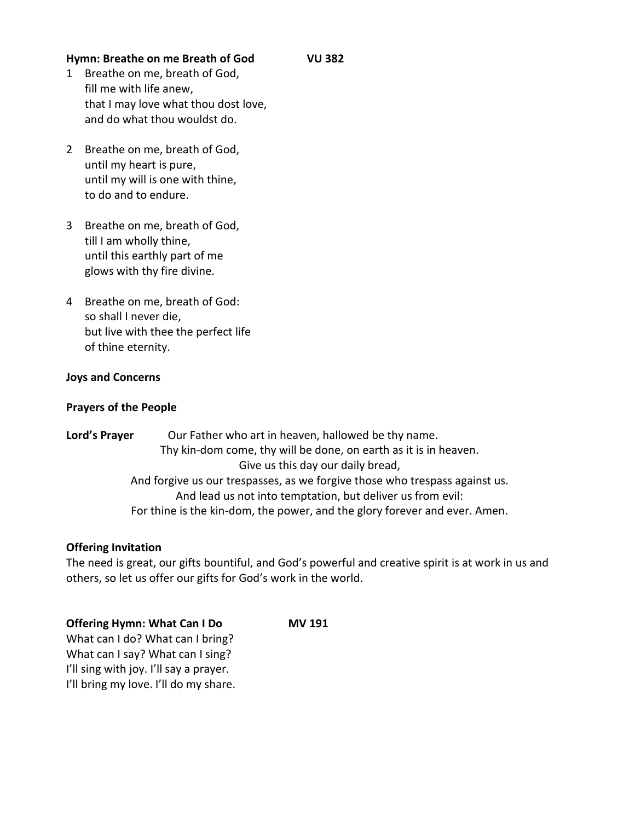## **Hymn: Breathe on me Breath of God VU 382**

- 1 Breathe on me, breath of God, fill me with life anew, that I may love what thou dost love, and do what thou wouldst do.
- 2 Breathe on me, breath of God, until my heart is pure, until my will is one with thine, to do and to endure.
- 3 Breathe on me, breath of God, till I am wholly thine, until this earthly part of me glows with thy fire divine.
- 4 Breathe on me, breath of God: so shall I never die, but live with thee the perfect life of thine eternity.

#### **Joys and Concerns**

#### **Prayers of the People**

Lord's Prayer **Our Father who art in heaven, hallowed be thy name.** Thy kin-dom come, thy will be done, on earth as it is in heaven. Give us this day our daily bread, And forgive us our trespasses, as we forgive those who trespass against us. And lead us not into temptation, but deliver us from evil: For thine is the kin-dom, the power, and the glory forever and ever. Amen.

#### **Offering Invitation**

The need is great, our gifts bountiful, and God's powerful and creative spirit is at work in us and others, so let us offer our gifts for God's work in the world.

#### **Offering Hymn: What Can I Do MV 191**

What can I do? What can I bring? What can I say? What can I sing? I'll sing with joy. I'll say a prayer. I'll bring my love. I'll do my share.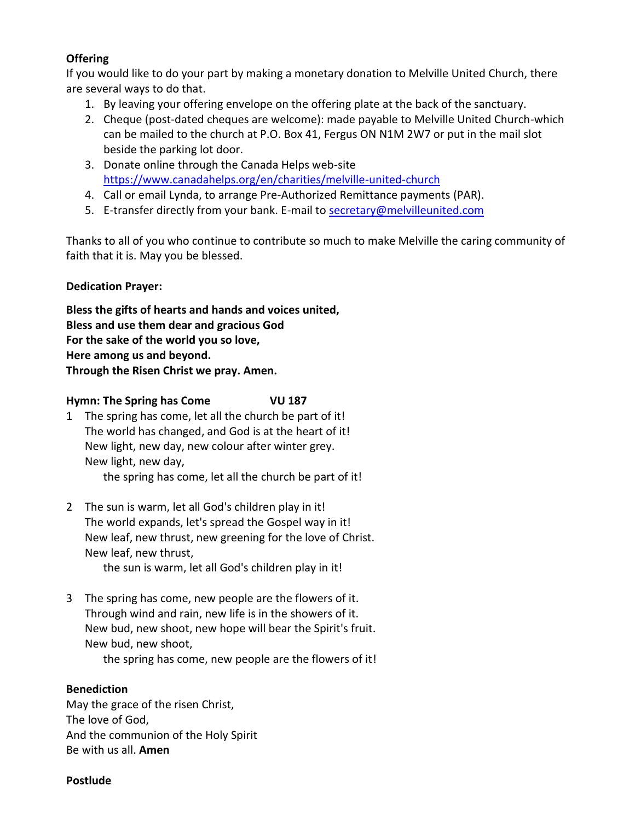# **Offering**

If you would like to do your part by making a monetary donation to Melville United Church, there are several ways to do that.

- 1. By leaving your offering envelope on the offering plate at the back of the sanctuary.
- 2. Cheque (post-dated cheques are welcome): made payable to Melville United Church-which can be mailed to the church at P.O. Box 41, Fergus ON N1M 2W7 or put in the mail slot beside the parking lot door.
- 3. Donate online through the Canada Helps web-site <https://www.canadahelps.org/en/charities/melville-united-church>
- 4. Call or email Lynda, to arrange Pre-Authorized Remittance payments (PAR).
- 5. E-transfer directly from your bank. E-mail to [secretary@melvilleunited.com](mailto:secretary@melvilleunited.com)

Thanks to all of you who continue to contribute so much to make Melville the caring community of faith that it is. May you be blessed.

# **Dedication Prayer:**

**Bless the gifts of hearts and hands and voices united, Bless and use them dear and gracious God For the sake of the world you so love, Here among us and beyond. Through the Risen Christ we pray. Amen.**

# **Hymn: The Spring has Come VU 187**

- 1 The spring has come, let all the church be part of it! The world has changed, and God is at the heart of it! New light, new day, new colour after winter grey. New light, new day, the spring has come, let all the church be part of it!
- 2 The sun is warm, let all God's children play in it! The world expands, let's spread the Gospel way in it! New leaf, new thrust, new greening for the love of Christ. New leaf, new thrust,

the sun is warm, let all God's children play in it!

3 The spring has come, new people are the flowers of it. Through wind and rain, new life is in the showers of it. New bud, new shoot, new hope will bear the Spirit's fruit. New bud, new shoot, the spring has come, new people are the flowers of it!

# **Benediction**

May the grace of the risen Christ, The love of God, And the communion of the Holy Spirit Be with us all. **Amen**

#### **Postlude**